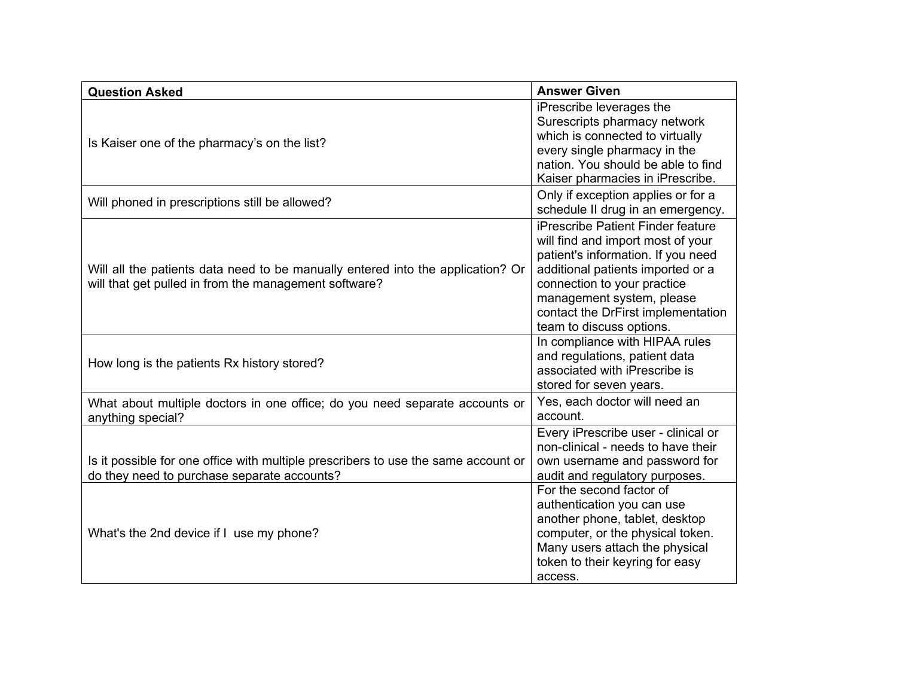| <b>Question Asked</b>                                                                                                                    | <b>Answer Given</b>                                                                                                                                                                                                                                                             |
|------------------------------------------------------------------------------------------------------------------------------------------|---------------------------------------------------------------------------------------------------------------------------------------------------------------------------------------------------------------------------------------------------------------------------------|
| Is Kaiser one of the pharmacy's on the list?                                                                                             | iPrescribe leverages the<br>Surescripts pharmacy network<br>which is connected to virtually<br>every single pharmacy in the<br>nation. You should be able to find<br>Kaiser pharmacies in iPrescribe.                                                                           |
| Will phoned in prescriptions still be allowed?                                                                                           | Only if exception applies or for a<br>schedule II drug in an emergency.                                                                                                                                                                                                         |
| Will all the patients data need to be manually entered into the application? Or<br>will that get pulled in from the management software? | iPrescribe Patient Finder feature<br>will find and import most of your<br>patient's information. If you need<br>additional patients imported or a<br>connection to your practice<br>management system, please<br>contact the DrFirst implementation<br>team to discuss options. |
| How long is the patients Rx history stored?                                                                                              | In compliance with HIPAA rules<br>and regulations, patient data<br>associated with iPrescribe is<br>stored for seven years.                                                                                                                                                     |
| What about multiple doctors in one office; do you need separate accounts or<br>anything special?                                         | Yes, each doctor will need an<br>account.                                                                                                                                                                                                                                       |
| Is it possible for one office with multiple prescribers to use the same account or<br>do they need to purchase separate accounts?        | Every iPrescribe user - clinical or<br>non-clinical - needs to have their<br>own username and password for<br>audit and regulatory purposes.                                                                                                                                    |
| What's the 2nd device if I use my phone?                                                                                                 | For the second factor of<br>authentication you can use<br>another phone, tablet, desktop<br>computer, or the physical token.<br>Many users attach the physical<br>token to their keyring for easy<br>access.                                                                    |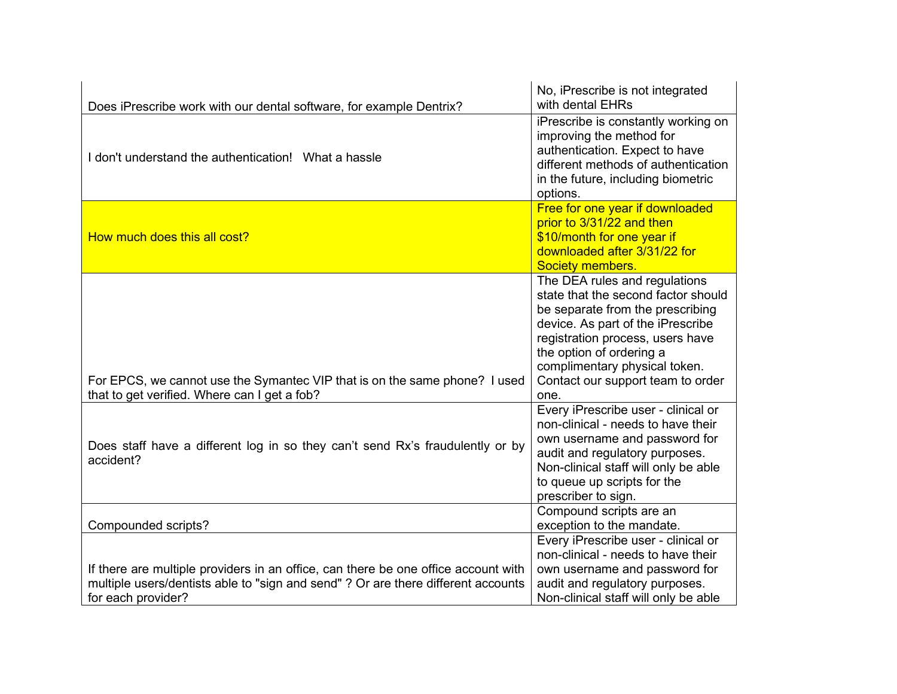| Does iPrescribe work with our dental software, for example Dentrix?                                                                                                                           | No, iPrescribe is not integrated<br>with dental EHRs                                                                                                                                                                                                                                        |
|-----------------------------------------------------------------------------------------------------------------------------------------------------------------------------------------------|---------------------------------------------------------------------------------------------------------------------------------------------------------------------------------------------------------------------------------------------------------------------------------------------|
| I don't understand the authentication! What a hassle                                                                                                                                          | iPrescribe is constantly working on<br>improving the method for<br>authentication. Expect to have<br>different methods of authentication<br>in the future, including biometric<br>options.                                                                                                  |
| How much does this all cost?                                                                                                                                                                  | Free for one year if downloaded<br>prior to 3/31/22 and then<br>\$10/month for one year if<br>downloaded after 3/31/22 for<br>Society members.                                                                                                                                              |
| For EPCS, we cannot use the Symantec VIP that is on the same phone? I used<br>that to get verified. Where can I get a fob?                                                                    | The DEA rules and regulations<br>state that the second factor should<br>be separate from the prescribing<br>device. As part of the iPrescribe<br>registration process, users have<br>the option of ordering a<br>complimentary physical token.<br>Contact our support team to order<br>one. |
| Does staff have a different log in so they can't send Rx's fraudulently or by<br>accident?                                                                                                    | Every iPrescribe user - clinical or<br>non-clinical - needs to have their<br>own username and password for<br>audit and regulatory purposes.<br>Non-clinical staff will only be able<br>to queue up scripts for the<br>prescriber to sign.                                                  |
| Compounded scripts?                                                                                                                                                                           | Compound scripts are an<br>exception to the mandate.                                                                                                                                                                                                                                        |
| If there are multiple providers in an office, can there be one office account with<br>multiple users/dentists able to "sign and send" ? Or are there different accounts<br>for each provider? | Every iPrescribe user - clinical or<br>non-clinical - needs to have their<br>own username and password for<br>audit and regulatory purposes.<br>Non-clinical staff will only be able                                                                                                        |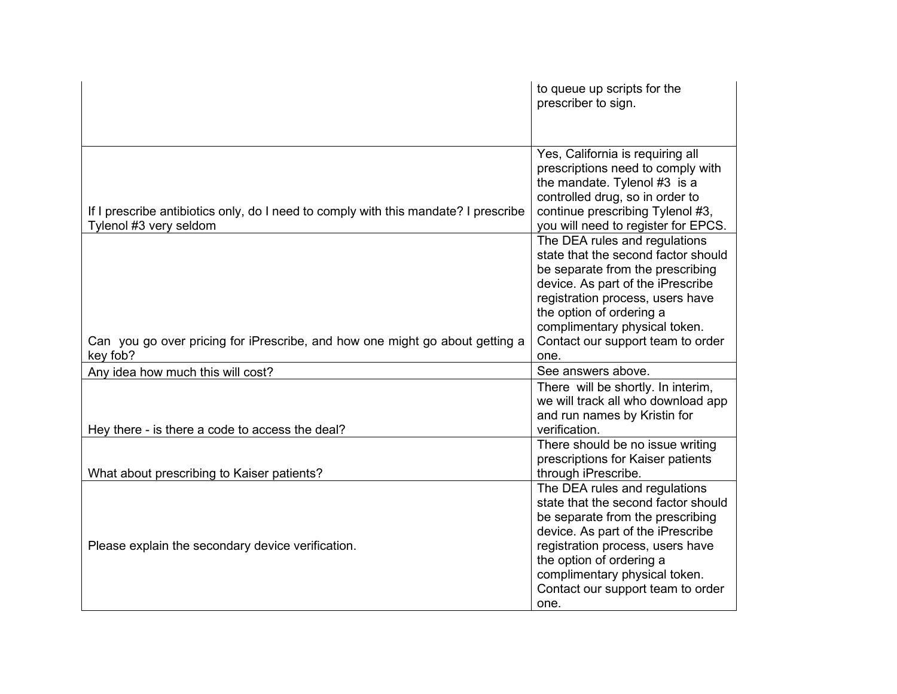|                                                                                                               | to queue up scripts for the<br>prescriber to sign.                                                                                                                                                                                                                                          |
|---------------------------------------------------------------------------------------------------------------|---------------------------------------------------------------------------------------------------------------------------------------------------------------------------------------------------------------------------------------------------------------------------------------------|
| If I prescribe antibiotics only, do I need to comply with this mandate? I prescribe<br>Tylenol #3 very seldom | Yes, California is requiring all<br>prescriptions need to comply with<br>the mandate. Tylenol #3 is a<br>controlled drug, so in order to<br>continue prescribing Tylenol #3,<br>you will need to register for EPCS.                                                                         |
| Can you go over pricing for iPrescribe, and how one might go about getting a<br>key fob?                      | The DEA rules and regulations<br>state that the second factor should<br>be separate from the prescribing<br>device. As part of the iPrescribe<br>registration process, users have<br>the option of ordering a<br>complimentary physical token.<br>Contact our support team to order<br>one. |
| Any idea how much this will cost?                                                                             | See answers above.                                                                                                                                                                                                                                                                          |
| Hey there - is there a code to access the deal?                                                               | There will be shortly. In interim,<br>we will track all who download app<br>and run names by Kristin for<br>verification.                                                                                                                                                                   |
| What about prescribing to Kaiser patients?                                                                    | There should be no issue writing<br>prescriptions for Kaiser patients<br>through iPrescribe.                                                                                                                                                                                                |
| Please explain the secondary device verification.                                                             | The DEA rules and regulations<br>state that the second factor should<br>be separate from the prescribing<br>device. As part of the iPrescribe<br>registration process, users have<br>the option of ordering a<br>complimentary physical token.<br>Contact our support team to order<br>one. |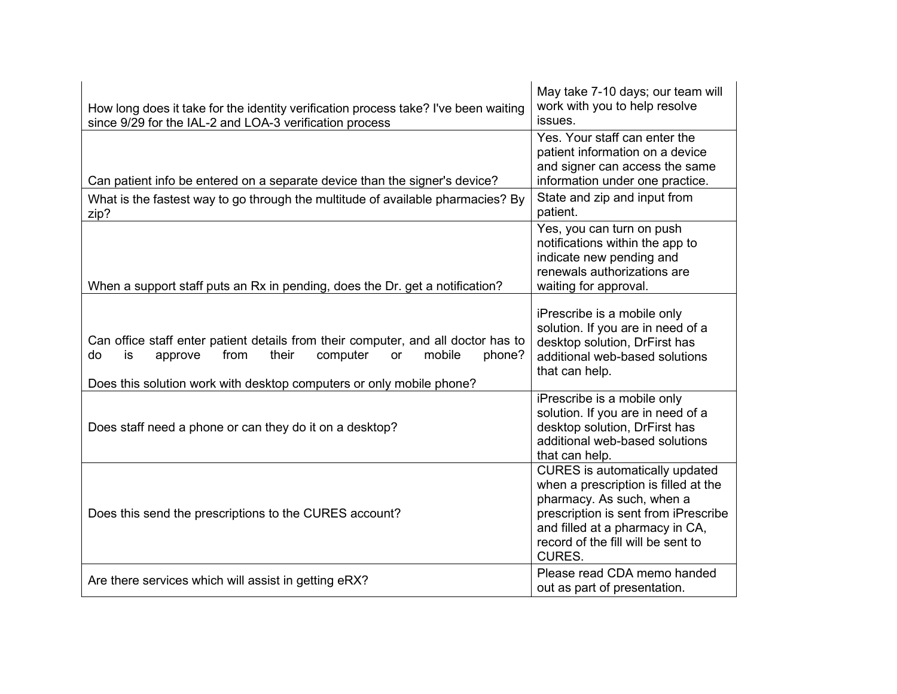| How long does it take for the identity verification process take? I've been waiting<br>since 9/29 for the IAL-2 and LOA-3 verification process                                                                                           | May take 7-10 days; our team will<br>work with you to help resolve<br>issues.                                                                                                                                                                |
|------------------------------------------------------------------------------------------------------------------------------------------------------------------------------------------------------------------------------------------|----------------------------------------------------------------------------------------------------------------------------------------------------------------------------------------------------------------------------------------------|
| Can patient info be entered on a separate device than the signer's device?                                                                                                                                                               | Yes. Your staff can enter the<br>patient information on a device<br>and signer can access the same<br>information under one practice.                                                                                                        |
| What is the fastest way to go through the multitude of available pharmacies? By<br>zip?                                                                                                                                                  | State and zip and input from<br>patient.                                                                                                                                                                                                     |
| When a support staff puts an Rx in pending, does the Dr. get a notification?                                                                                                                                                             | Yes, you can turn on push<br>notifications within the app to<br>indicate new pending and<br>renewals authorizations are<br>waiting for approval.                                                                                             |
| Can office staff enter patient details from their computer, and all doctor has to<br>mobile<br>from<br>their<br>computer<br>do<br>approve<br>phone?<br>is.<br>or<br>Does this solution work with desktop computers or only mobile phone? | iPrescribe is a mobile only<br>solution. If you are in need of a<br>desktop solution, DrFirst has<br>additional web-based solutions<br>that can help.                                                                                        |
| Does staff need a phone or can they do it on a desktop?                                                                                                                                                                                  | iPrescribe is a mobile only<br>solution. If you are in need of a<br>desktop solution, DrFirst has<br>additional web-based solutions<br>that can help.                                                                                        |
| Does this send the prescriptions to the CURES account?                                                                                                                                                                                   | <b>CURES</b> is automatically updated<br>when a prescription is filled at the<br>pharmacy. As such, when a<br>prescription is sent from iPrescribe<br>and filled at a pharmacy in CA,<br>record of the fill will be sent to<br><b>CURES.</b> |
| Are there services which will assist in getting eRX?                                                                                                                                                                                     | Please read CDA memo handed<br>out as part of presentation.                                                                                                                                                                                  |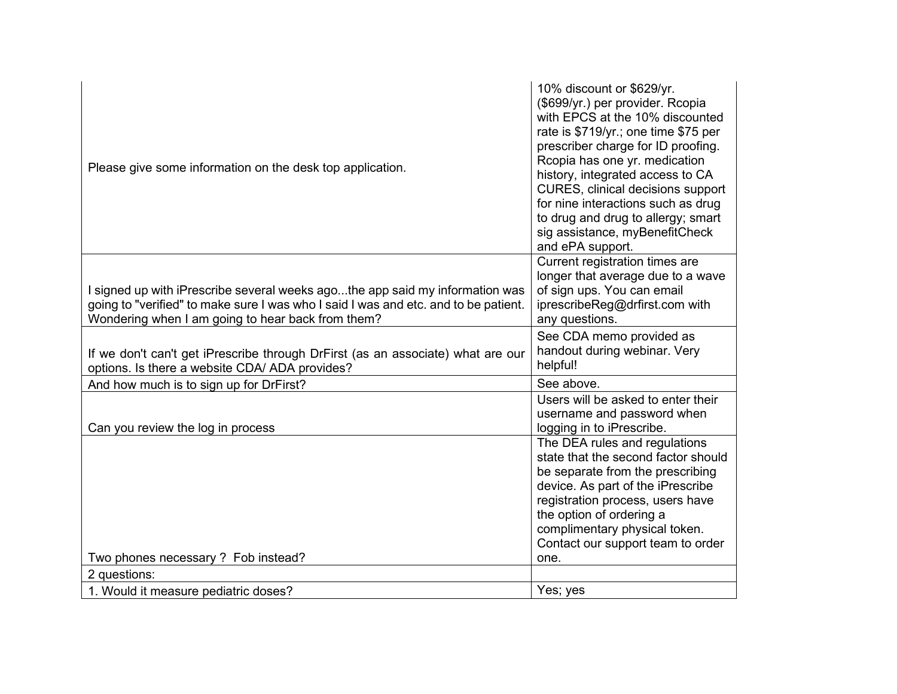| Please give some information on the desk top application.                                                                                                                                                                | 10% discount or \$629/yr.<br>(\$699/yr.) per provider. Rcopia<br>with EPCS at the 10% discounted<br>rate is \$719/yr.; one time \$75 per<br>prescriber charge for ID proofing.<br>Rcopia has one yr. medication<br>history, integrated access to CA<br><b>CURES, clinical decisions support</b><br>for nine interactions such as drug<br>to drug and drug to allergy; smart<br>sig assistance, myBenefitCheck<br>and ePA support. |
|--------------------------------------------------------------------------------------------------------------------------------------------------------------------------------------------------------------------------|-----------------------------------------------------------------------------------------------------------------------------------------------------------------------------------------------------------------------------------------------------------------------------------------------------------------------------------------------------------------------------------------------------------------------------------|
| I signed up with iPrescribe several weeks agothe app said my information was<br>going to "verified" to make sure I was who I said I was and etc. and to be patient.<br>Wondering when I am going to hear back from them? | Current registration times are<br>longer that average due to a wave<br>of sign ups. You can email<br>iprescribeReg@drfirst.com with<br>any questions.                                                                                                                                                                                                                                                                             |
| If we don't can't get iPrescribe through DrFirst (as an associate) what are our<br>options. Is there a website CDA/ ADA provides?                                                                                        | See CDA memo provided as<br>handout during webinar. Very<br>helpful!                                                                                                                                                                                                                                                                                                                                                              |
| And how much is to sign up for DrFirst?                                                                                                                                                                                  | See above.                                                                                                                                                                                                                                                                                                                                                                                                                        |
| Can you review the log in process                                                                                                                                                                                        | Users will be asked to enter their<br>username and password when<br>logging in to iPrescribe.                                                                                                                                                                                                                                                                                                                                     |
|                                                                                                                                                                                                                          | The DEA rules and regulations<br>state that the second factor should<br>be separate from the prescribing<br>device. As part of the iPrescribe<br>registration process, users have<br>the option of ordering a<br>complimentary physical token.<br>Contact our support team to order                                                                                                                                               |
| Two phones necessary? Fob instead?                                                                                                                                                                                       | one.                                                                                                                                                                                                                                                                                                                                                                                                                              |
| 2 questions:                                                                                                                                                                                                             |                                                                                                                                                                                                                                                                                                                                                                                                                                   |
| 1. Would it measure pediatric doses?                                                                                                                                                                                     | Yes; yes                                                                                                                                                                                                                                                                                                                                                                                                                          |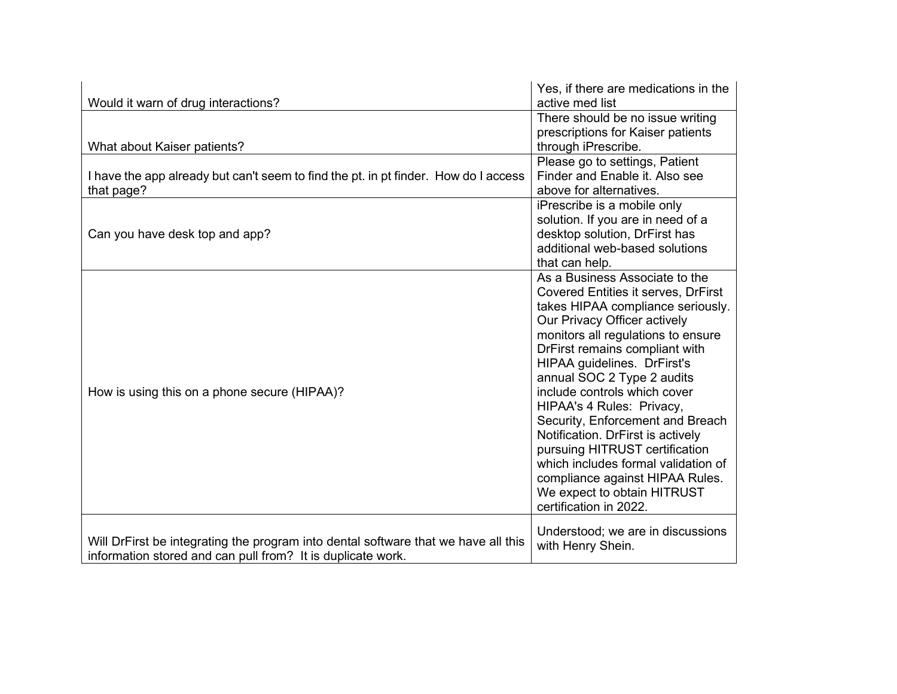|                                                                                     | Yes, if there are medications in the       |
|-------------------------------------------------------------------------------------|--------------------------------------------|
| Would it warn of drug interactions?                                                 | active med list                            |
|                                                                                     | There should be no issue writing           |
|                                                                                     | prescriptions for Kaiser patients          |
| What about Kaiser patients?                                                         | through iPrescribe.                        |
|                                                                                     | Please go to settings, Patient             |
| I have the app already but can't seem to find the pt. in pt finder. How do I access | Finder and Enable it. Also see             |
| that page?                                                                          | above for alternatives.                    |
|                                                                                     | iPrescribe is a mobile only                |
|                                                                                     | solution. If you are in need of a          |
| Can you have desk top and app?                                                      | desktop solution, DrFirst has              |
|                                                                                     | additional web-based solutions             |
|                                                                                     | that can help.                             |
|                                                                                     | As a Business Associate to the             |
|                                                                                     | <b>Covered Entities it serves, DrFirst</b> |
|                                                                                     | takes HIPAA compliance seriously.          |
|                                                                                     | Our Privacy Officer actively               |
|                                                                                     | monitors all regulations to ensure         |
|                                                                                     | DrFirst remains compliant with             |
|                                                                                     | HIPAA guidelines. DrFirst's                |
|                                                                                     | annual SOC 2 Type 2 audits                 |
| How is using this on a phone secure (HIPAA)?                                        | include controls which cover               |
|                                                                                     | HIPAA's 4 Rules: Privacy,                  |
|                                                                                     | Security, Enforcement and Breach           |
|                                                                                     | Notification. DrFirst is actively          |
|                                                                                     | pursuing HITRUST certification             |
|                                                                                     | which includes formal validation of        |
|                                                                                     | compliance against HIPAA Rules.            |
|                                                                                     | We expect to obtain HITRUST                |
|                                                                                     | certification in 2022.                     |
|                                                                                     |                                            |
|                                                                                     | Understood; we are in discussions          |
| Will DrFirst be integrating the program into dental software that we have all this  | with Henry Shein.                          |
| information stored and can pull from? It is duplicate work.                         |                                            |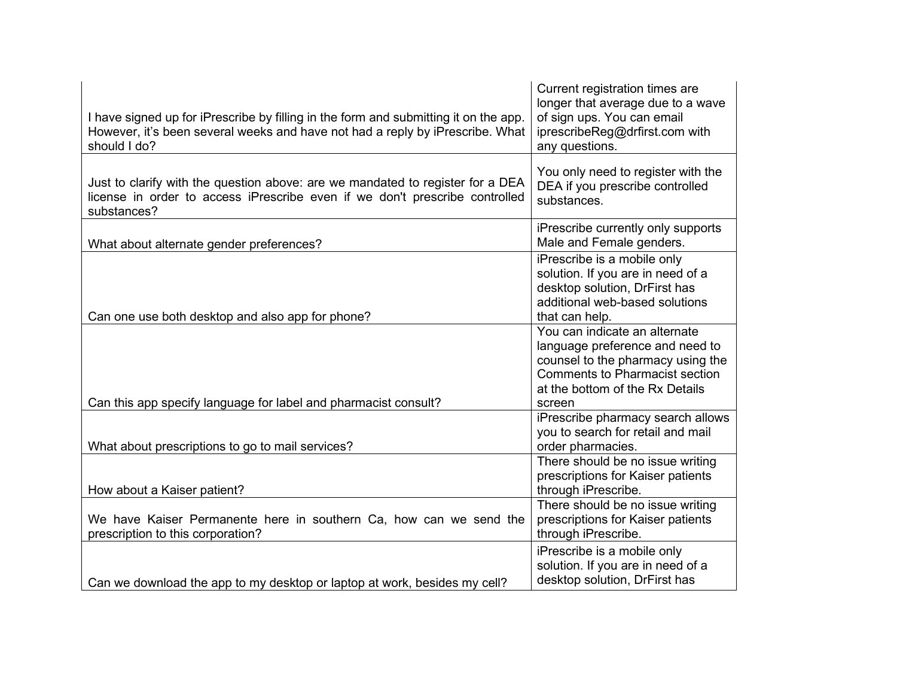| I have signed up for iPrescribe by filling in the form and submitting it on the app.<br>However, it's been several weeks and have not had a reply by iPrescribe. What<br>should I do? | Current registration times are<br>longer that average due to a wave<br>of sign ups. You can email<br>iprescribeReg@drfirst.com with<br>any questions.                                       |
|---------------------------------------------------------------------------------------------------------------------------------------------------------------------------------------|---------------------------------------------------------------------------------------------------------------------------------------------------------------------------------------------|
| Just to clarify with the question above: are we mandated to register for a DEA<br>license in order to access iPrescribe even if we don't prescribe controlled<br>substances?          | You only need to register with the<br>DEA if you prescribe controlled<br>substances.                                                                                                        |
| What about alternate gender preferences?                                                                                                                                              | iPrescribe currently only supports<br>Male and Female genders.                                                                                                                              |
| Can one use both desktop and also app for phone?                                                                                                                                      | iPrescribe is a mobile only<br>solution. If you are in need of a<br>desktop solution, DrFirst has<br>additional web-based solutions<br>that can help.                                       |
| Can this app specify language for label and pharmacist consult?                                                                                                                       | You can indicate an alternate<br>language preference and need to<br>counsel to the pharmacy using the<br><b>Comments to Pharmacist section</b><br>at the bottom of the Rx Details<br>screen |
| What about prescriptions to go to mail services?                                                                                                                                      | iPrescribe pharmacy search allows<br>you to search for retail and mail<br>order pharmacies.                                                                                                 |
| How about a Kaiser patient?                                                                                                                                                           | There should be no issue writing<br>prescriptions for Kaiser patients<br>through iPrescribe.                                                                                                |
| We have Kaiser Permanente here in southern Ca, how can we send the<br>prescription to this corporation?                                                                               | There should be no issue writing<br>prescriptions for Kaiser patients<br>through iPrescribe.                                                                                                |
| Can we download the app to my desktop or laptop at work, besides my cell?                                                                                                             | iPrescribe is a mobile only<br>solution. If you are in need of a<br>desktop solution, DrFirst has                                                                                           |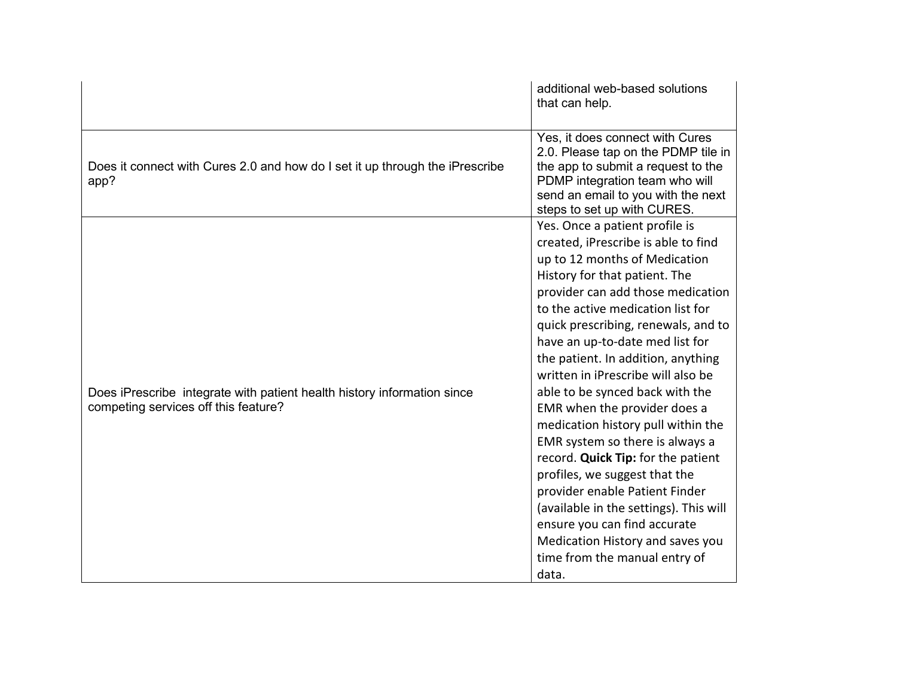|                                                                                                                 | additional web-based solutions<br>that can help.                                                                                                                                                                                                                                                                                                                                                                                                                                                                                                                                                                                                                                                                                                                                     |
|-----------------------------------------------------------------------------------------------------------------|--------------------------------------------------------------------------------------------------------------------------------------------------------------------------------------------------------------------------------------------------------------------------------------------------------------------------------------------------------------------------------------------------------------------------------------------------------------------------------------------------------------------------------------------------------------------------------------------------------------------------------------------------------------------------------------------------------------------------------------------------------------------------------------|
| Does it connect with Cures 2.0 and how do I set it up through the iPrescribe<br>app?                            | Yes, it does connect with Cures<br>2.0. Please tap on the PDMP tile in<br>the app to submit a request to the<br>PDMP integration team who will<br>send an email to you with the next<br>steps to set up with CURES.                                                                                                                                                                                                                                                                                                                                                                                                                                                                                                                                                                  |
| Does iPrescribe integrate with patient health history information since<br>competing services off this feature? | Yes. Once a patient profile is<br>created, iPrescribe is able to find<br>up to 12 months of Medication<br>History for that patient. The<br>provider can add those medication<br>to the active medication list for<br>quick prescribing, renewals, and to<br>have an up-to-date med list for<br>the patient. In addition, anything<br>written in iPrescribe will also be<br>able to be synced back with the<br>EMR when the provider does a<br>medication history pull within the<br>EMR system so there is always a<br>record. Quick Tip: for the patient<br>profiles, we suggest that the<br>provider enable Patient Finder<br>(available in the settings). This will<br>ensure you can find accurate<br>Medication History and saves you<br>time from the manual entry of<br>data. |